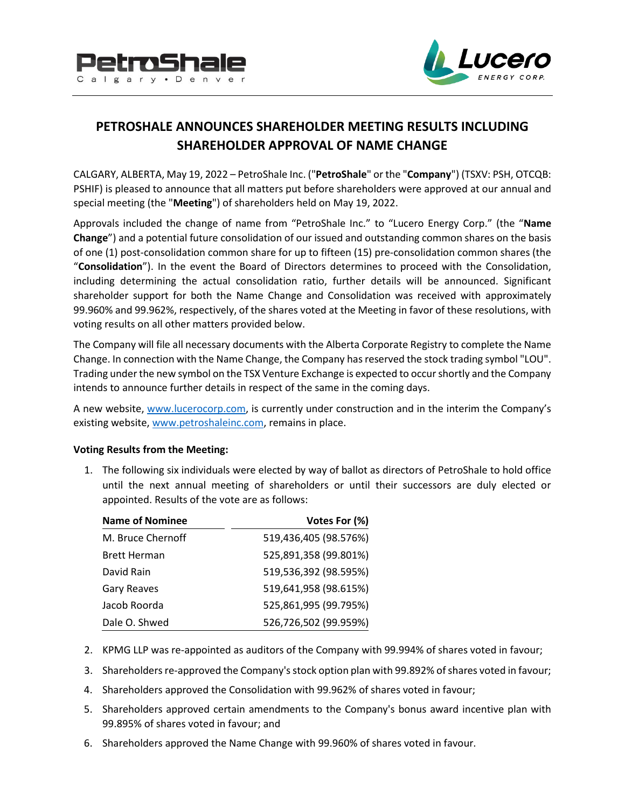



# **PETROSHALE ANNOUNCES SHAREHOLDER MEETING RESULTS INCLUDING SHAREHOLDER APPROVAL OF NAME CHANGE**

CALGARY, ALBERTA, May 19, 2022 – PetroShale Inc. ("**PetroShale**" or the "**Company**") (TSXV: PSH, OTCQB: PSHIF) is pleased to announce that all matters put before shareholders were approved at our annual and special meeting (the "**Meeting**") of shareholders held on May 19, 2022.

Approvals included the change of name from "PetroShale Inc." to "Lucero Energy Corp." (the "**Name Change**") and a potential future consolidation of our issued and outstanding common shares on the basis of one (1) post-consolidation common share for up to fifteen (15) pre-consolidation common shares (the "**Consolidation**"). In the event the Board of Directors determines to proceed with the Consolidation, including determining the actual consolidation ratio, further details will be announced. Significant shareholder support for both the Name Change and Consolidation was received with approximately 99.960% and 99.962%, respectively, of the shares voted at the Meeting in favor of these resolutions, with voting results on all other matters provided below.

The Company will file all necessary documents with the Alberta Corporate Registry to complete the Name Change. In connection with the Name Change, the Company has reserved the stock trading symbol "LOU". Trading under the new symbol on the TSX Venture Exchange is expected to occur shortly and the Company intends to announce further details in respect of the same in the coming days.

A new website, [www.lucerocorp.com,](http://www.lucerocorp.com/) is currently under construction and in the interim the Company's existing website, [www.petroshaleinc.com,](http://www.petroshaleinc.com/) remains in place.

## **Voting Results from the Meeting:**

1. The following six individuals were elected by way of ballot as directors of PetroShale to hold office until the next annual meeting of shareholders or until their successors are duly elected or appointed. Results of the vote are as follows:

| <b>Name of Nominee</b> | Votes For (%)         |
|------------------------|-----------------------|
| M. Bruce Chernoff      | 519,436,405 (98.576%) |
| <b>Brett Herman</b>    | 525,891,358 (99.801%) |
| David Rain             | 519,536,392 (98.595%) |
| <b>Gary Reaves</b>     | 519,641,958 (98.615%) |
| Jacob Roorda           | 525,861,995 (99.795%) |
| Dale O. Shwed          | 526,726,502 (99.959%) |

- 2. KPMG LLP was re-appointed as auditors of the Company with 99.994% of shares voted in favour;
- 3. Shareholders re-approved the Company's stock option plan with 99.892% of shares voted in favour;
- 4. Shareholders approved the Consolidation with 99.962% of shares voted in favour;
- 5. Shareholders approved certain amendments to the Company's bonus award incentive plan with 99.895% of shares voted in favour; and
- 6. Shareholders approved the Name Change with 99.960% of shares voted in favour.